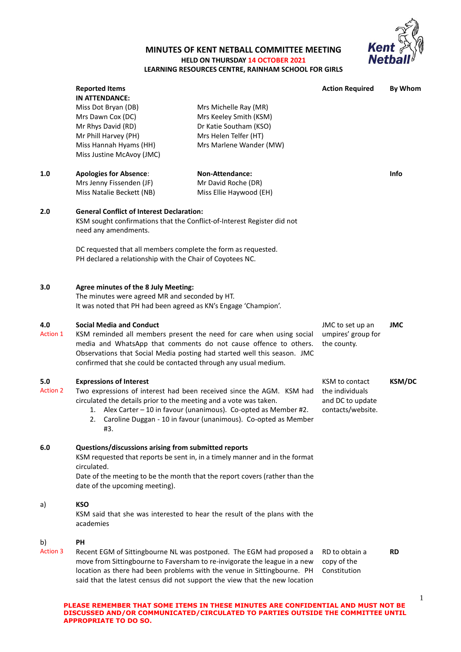

## **MINUTES OF KENT NETBALL COMMITTEE MEETING HELD ON THURSDAY 14 OCTOBER 2021 LEARNING RESOURCES CENTRE, RAINHAM SCHOOL FOR GIRLS**

|                        | <b>Reported Items</b><br><b>IN ATTENDANCE:</b>                                                                                                                                                                                                                                                                                            |                                                                                                                                                                                                                              | <b>Action Required</b>                                                     | <b>By Whom</b> |
|------------------------|-------------------------------------------------------------------------------------------------------------------------------------------------------------------------------------------------------------------------------------------------------------------------------------------------------------------------------------------|------------------------------------------------------------------------------------------------------------------------------------------------------------------------------------------------------------------------------|----------------------------------------------------------------------------|----------------|
|                        | Miss Dot Bryan (DB)<br>Mrs Dawn Cox (DC)<br>Mr Rhys David (RD)<br>Mr Phill Harvey (PH)<br>Miss Hannah Hyams (HH)                                                                                                                                                                                                                          | Mrs Michelle Ray (MR)<br>Mrs Keeley Smith (KSM)<br>Dr Katie Southam (KSO)<br>Mrs Helen Telfer (HT)<br>Mrs Marlene Wander (MW)                                                                                                |                                                                            |                |
|                        | Miss Justine McAvoy (JMC)                                                                                                                                                                                                                                                                                                                 |                                                                                                                                                                                                                              |                                                                            |                |
| 1.0                    | <b>Apologies for Absence:</b><br>Mrs Jenny Fissenden (JF)<br>Miss Natalie Beckett (NB)                                                                                                                                                                                                                                                    | <b>Non-Attendance:</b><br>Mr David Roche (DR)<br>Miss Ellie Haywood (EH)                                                                                                                                                     |                                                                            | <b>Info</b>    |
| 2.0                    | <b>General Conflict of Interest Declaration:</b><br>KSM sought confirmations that the Conflict-of-Interest Register did not<br>need any amendments.                                                                                                                                                                                       |                                                                                                                                                                                                                              |                                                                            |                |
|                        | DC requested that all members complete the form as requested.<br>PH declared a relationship with the Chair of Coyotees NC.                                                                                                                                                                                                                |                                                                                                                                                                                                                              |                                                                            |                |
| 3.0                    | Agree minutes of the 8 July Meeting:<br>The minutes were agreed MR and seconded by HT.<br>It was noted that PH had been agreed as KN's Engage 'Champion'.                                                                                                                                                                                 |                                                                                                                                                                                                                              |                                                                            |                |
| 4.0<br>Action 1        | <b>Social Media and Conduct</b><br>KSM reminded all members present the need for care when using social<br>media and WhatsApp that comments do not cause offence to others.<br>the county.<br>Observations that Social Media posting had started well this season. JMC<br>confirmed that she could be contacted through any usual medium. |                                                                                                                                                                                                                              | JMC to set up an<br>umpires' group for                                     | <b>JMC</b>     |
| 5.0<br><b>Action 2</b> | <b>Expressions of Interest</b><br>Two expressions of interest had been received since the AGM. KSM had<br>circulated the details prior to the meeting and a vote was taken.<br>1. Alex Carter - 10 in favour (unanimous). Co-opted as Member #2.<br>Caroline Duggan - 10 in favour (unanimous). Co-opted as Member<br>2.<br>#3.           |                                                                                                                                                                                                                              | KSM to contact<br>the individuals<br>and DC to update<br>contacts/website. | <b>KSM/DC</b>  |
| 6.0                    | Questions/discussions arising from submitted reports<br>KSM requested that reports be sent in, in a timely manner and in the format<br>circulated.<br>Date of the meeting to be the month that the report covers (rather than the<br>date of the upcoming meeting).                                                                       |                                                                                                                                                                                                                              |                                                                            |                |
| a)                     | <b>KSO</b><br>KSM said that she was interested to hear the result of the plans with the<br>academies                                                                                                                                                                                                                                      |                                                                                                                                                                                                                              |                                                                            |                |
| b)<br>Action 3         | PH<br>said that the latest census did not support the view that the new location                                                                                                                                                                                                                                                          | Recent EGM of Sittingbourne NL was postponed. The EGM had proposed a<br>move from Sittingbourne to Faversham to re-invigorate the league in a new<br>location as there had been problems with the venue in Sittingbourne. PH | RD to obtain a<br>copy of the<br>Constitution                              | <b>RD</b>      |

**DISCUSSED AND/OR COMMUNICATED/CIRCULATED TO PARTIES OUTSIDE THE COMMITTEE UNTIL** 

**APPROPRIATE TO DO SO.**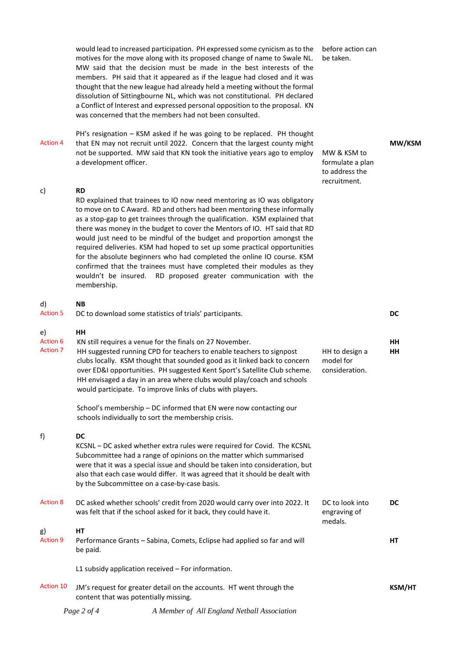|                                          | would lead to increased participation. PH expressed some cynicism as to the<br>motives for the move along with its proposed change of name to Swale NL.<br>MW said that the decision must be made in the best interests of the<br>members. PH said that it appeared as if the league had closed and it was<br>thought that the new league had already held a meeting without the formal<br>dissolution of Sittingbourne NL, which was not constitutional. PH declared<br>a Conflict of Interest and expressed personal opposition to the proposal. KN<br>was concerned that the members had not been consulted.                                                                                                           | before action can<br>be taken.                                    |               |
|------------------------------------------|---------------------------------------------------------------------------------------------------------------------------------------------------------------------------------------------------------------------------------------------------------------------------------------------------------------------------------------------------------------------------------------------------------------------------------------------------------------------------------------------------------------------------------------------------------------------------------------------------------------------------------------------------------------------------------------------------------------------------|-------------------------------------------------------------------|---------------|
| <b>Action 4</b>                          | PH's resignation - KSM asked if he was going to be replaced. PH thought<br>that EN may not recruit until 2022. Concern that the largest county might<br>not be supported. MW said that KN took the initiative years ago to employ<br>a development officer.                                                                                                                                                                                                                                                                                                                                                                                                                                                               | MW & KSM to<br>formulate a plan<br>to address the<br>recruitment. | MW/KSM        |
| c)                                       | <b>RD</b><br>RD explained that trainees to IO now need mentoring as IO was obligatory<br>to move on to C Award. RD and others had been mentoring these informally<br>as a stop-gap to get trainees through the qualification. KSM explained that<br>there was money in the budget to cover the Mentors of IO. HT said that RD<br>would just need to be mindful of the budget and proportion amongst the<br>required deliveries. KSM had hoped to set up some practical opportunities<br>for the absolute beginners who had completed the online IO course. KSM<br>confirmed that the trainees must have completed their modules as they<br>wouldn't be insured. RD proposed greater communication with the<br>membership. |                                                                   |               |
| d)<br><b>Action 5</b>                    | <b>NB</b><br>DC to download some statistics of trials' participants.                                                                                                                                                                                                                                                                                                                                                                                                                                                                                                                                                                                                                                                      |                                                                   | DC            |
| e)<br><b>Action 6</b><br><b>Action 7</b> | HH<br>KN still requires a venue for the finals on 27 November.<br>HH suggested running CPD for teachers to enable teachers to signpost<br>clubs locally. KSM thought that sounded good as it linked back to concern<br>over ED&I opportunities. PH suggested Kent Sport's Satellite Club scheme.<br>HH envisaged a day in an area where clubs would play/coach and schools<br>would participate. To improve links of clubs with players.                                                                                                                                                                                                                                                                                  | HH to design a<br>model for<br>consideration.                     | HH<br>HH      |
|                                          | School's membership - DC informed that EN were now contacting our<br>schools individually to sort the membership crisis.                                                                                                                                                                                                                                                                                                                                                                                                                                                                                                                                                                                                  |                                                                   |               |
| f)                                       | DC<br>KCSNL - DC asked whether extra rules were required for Covid. The KCSNL<br>Subcommittee had a range of opinions on the matter which summarised<br>were that it was a special issue and should be taken into consideration, but<br>also that each case would differ. It was agreed that it should be dealt with<br>by the Subcommittee on a case-by-case basis.                                                                                                                                                                                                                                                                                                                                                      |                                                                   |               |
| <b>Action 8</b>                          | DC asked whether schools' credit from 2020 would carry over into 2022. It<br>was felt that if the school asked for it back, they could have it.                                                                                                                                                                                                                                                                                                                                                                                                                                                                                                                                                                           | DC to look into<br>engraving of<br>medals.                        | DC            |
| g)<br><b>Action 9</b>                    | HТ<br>Performance Grants - Sabina, Comets, Eclipse had applied so far and will<br>be paid.                                                                                                                                                                                                                                                                                                                                                                                                                                                                                                                                                                                                                                |                                                                   | НT            |
|                                          | L1 subsidy application received - For information.                                                                                                                                                                                                                                                                                                                                                                                                                                                                                                                                                                                                                                                                        |                                                                   |               |
| <b>Action 10</b>                         | JM's request for greater detail on the accounts. HT went through the<br>content that was potentially missing.                                                                                                                                                                                                                                                                                                                                                                                                                                                                                                                                                                                                             |                                                                   | <b>KSM/HT</b> |
|                                          |                                                                                                                                                                                                                                                                                                                                                                                                                                                                                                                                                                                                                                                                                                                           |                                                                   |               |

*Page 2 of 4 A Member of All England Netball Association*